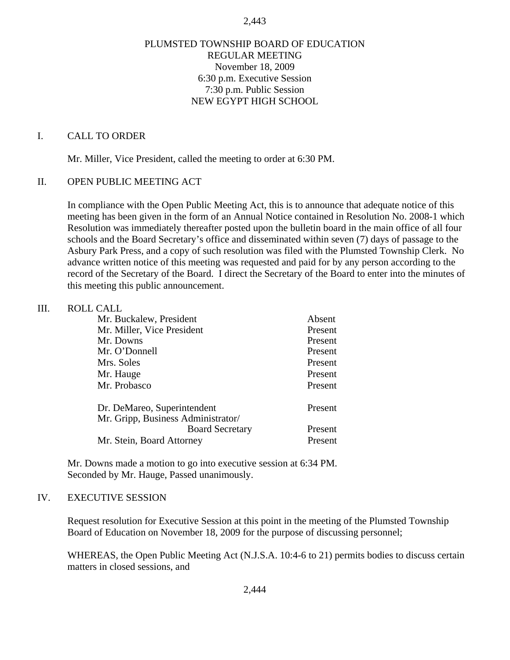#### 2,443

### PLUMSTED TOWNSHIP BOARD OF EDUCATION REGULAR MEETING November 18, 2009 6:30 p.m. Executive Session 7:30 p.m. Public Session NEW EGYPT HIGH SCHOOL

#### I. CALL TO ORDER

Mr. Miller, Vice President, called the meeting to order at 6:30 PM.

#### II. OPEN PUBLIC MEETING ACT

In compliance with the Open Public Meeting Act, this is to announce that adequate notice of this meeting has been given in the form of an Annual Notice contained in Resolution No. 2008-1 which Resolution was immediately thereafter posted upon the bulletin board in the main office of all four schools and the Board Secretary's office and disseminated within seven (7) days of passage to the Asbury Park Press, and a copy of such resolution was filed with the Plumsted Township Clerk. No advance written notice of this meeting was requested and paid for by any person according to the record of the Secretary of the Board. I direct the Secretary of the Board to enter into the minutes of this meeting this public announcement.

#### III. ROLL CALL

| Mr. Buckalew, President            | Absent  |
|------------------------------------|---------|
| Mr. Miller, Vice President         | Present |
| Mr. Downs                          | Present |
| Mr. O'Donnell                      | Present |
| Mrs. Soles                         | Present |
| Mr. Hauge                          | Present |
| Mr. Probasco                       | Present |
| Dr. DeMareo, Superintendent        | Present |
| Mr. Gripp, Business Administrator/ |         |
| <b>Board Secretary</b>             | Present |
| Mr. Stein, Board Attorney          | Present |

 Mr. Downs made a motion to go into executive session at 6:34 PM. Seconded by Mr. Hauge, Passed unanimously.

#### IV. EXECUTIVE SESSION

Request resolution for Executive Session at this point in the meeting of the Plumsted Township Board of Education on November 18, 2009 for the purpose of discussing personnel;

WHEREAS, the Open Public Meeting Act (N.J.S.A. 10:4-6 to 21) permits bodies to discuss certain matters in closed sessions, and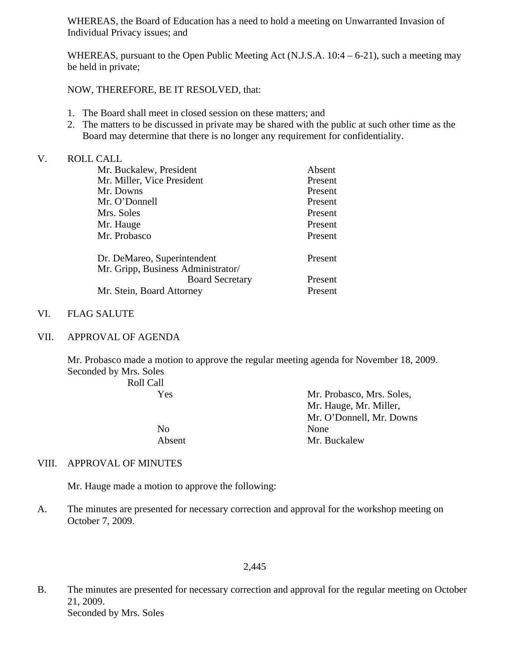WHEREAS, the Board of Education has a need to hold a meeting on Unwarranted Invasion of Individual Privacy issues; and

WHEREAS, pursuant to the Open Public Meeting Act (N.J.S.A. 10:4 – 6-21), such a meeting may be held in private;

NOW, THEREFORE, BE IT RESOLVED, that:

- 1. The Board shall meet in closed session on these matters; and
- 2. The matters to be discussed in private may be shared with the public at such other time as the Board may determine that there is no longer any requirement for confidentiality.

### V. ROLL CALL

| Absent  |
|---------|
| Present |
| Present |
| Present |
| Present |
| Present |
| Present |
| Present |
|         |
| Present |
| Present |
|         |

### VI. FLAG SALUTE

VII. APPROVAL OF AGENDA

Mr. Probasco made a motion to approve the regular meeting agenda for November 18, 2009. Seconded by Mrs. Soles

Roll Call

| Yes    | Mr. Probasco, Mrs. Soles, |
|--------|---------------------------|
|        | Mr. Hauge, Mr. Miller,    |
|        | Mr. O'Donnell, Mr. Downs  |
| No     | None                      |
| Absent | Mr. Buckalew              |

### VIII. APPROVAL OF MINUTES

Mr. Hauge made a motion to approve the following:

A. The minutes are presented for necessary correction and approval for the workshop meeting on October 7, 2009.

2,445

B. The minutes are presented for necessary correction and approval for the regular meeting on October 21, 2009. Seconded by Mrs. Soles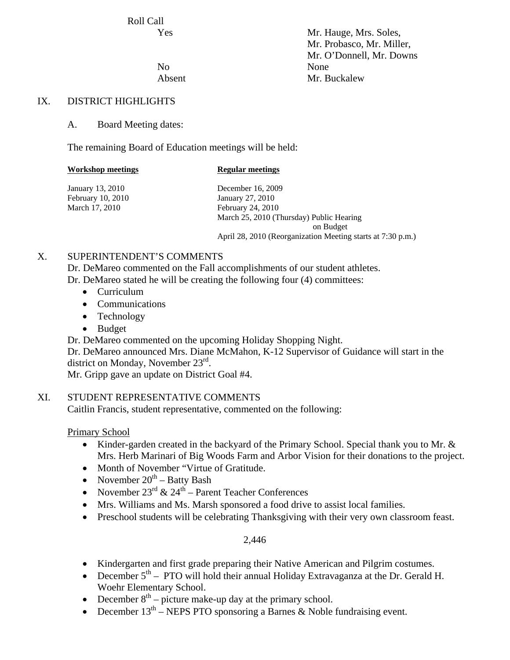Roll Call

 Yes Mr. Hauge, Mrs. Soles, Mr. Probasco, Mr. Miller, Mr. O'Donnell, Mr. Downs Absent Mr. Buckalew

No None

## IX. DISTRICT HIGHLIGHTS

A. Board Meeting dates:

The remaining Board of Education meetings will be held:

| <b>Workshop meetings</b> | <b>Regular meetings</b>                                     |
|--------------------------|-------------------------------------------------------------|
| January 13, 2010         | December 16, 2009                                           |
| February 10, 2010        | January 27, 2010                                            |
| March 17, 2010           | February 24, 2010                                           |
|                          | March 25, 2010 (Thursday) Public Hearing                    |
|                          | on Budget                                                   |
|                          | April 28, 2010 (Reorganization Meeting starts at 7:30 p.m.) |
|                          |                                                             |

## X. SUPERINTENDENT'S COMMENTS

 Dr. DeMareo commented on the Fall accomplishments of our student athletes. Dr. DeMareo stated he will be creating the following four (4) committees:

- Curriculum
- Communications
- Technology
- Budget

Dr. DeMareo commented on the upcoming Holiday Shopping Night.

Dr. DeMareo announced Mrs. Diane McMahon, K-12 Supervisor of Guidance will start in the district on Monday, November 23<sup>rd</sup>.

Mr. Gripp gave an update on District Goal #4.

# XI. STUDENT REPRESENTATIVE COMMENTS

Caitlin Francis, student representative, commented on the following:

Primary School

- Kinder-garden created in the backyard of the Primary School. Special thank you to Mr. & Mrs. Herb Marinari of Big Woods Farm and Arbor Vision for their donations to the project.
- Month of November "Virtue of Gratitude.
- November  $20^{th}$  Batty Bash
- November  $23^{\text{rd}}$  &  $24^{\text{th}}$  Parent Teacher Conferences
- Mrs. Williams and Ms. Marsh sponsored a food drive to assist local families.
- Preschool students will be celebrating Thanksgiving with their very own classroom feast.

### 2,446

- Kindergarten and first grade preparing their Native American and Pilgrim costumes.
- December  $5<sup>th</sup>$  PTO will hold their annual Holiday Extravaganza at the Dr. Gerald H. Woehr Elementary School.
- December  $8<sup>th</sup>$  picture make-up day at the primary school.
- December  $13<sup>th</sup>$  NEPS PTO sponsoring a Barnes & Noble fundraising event.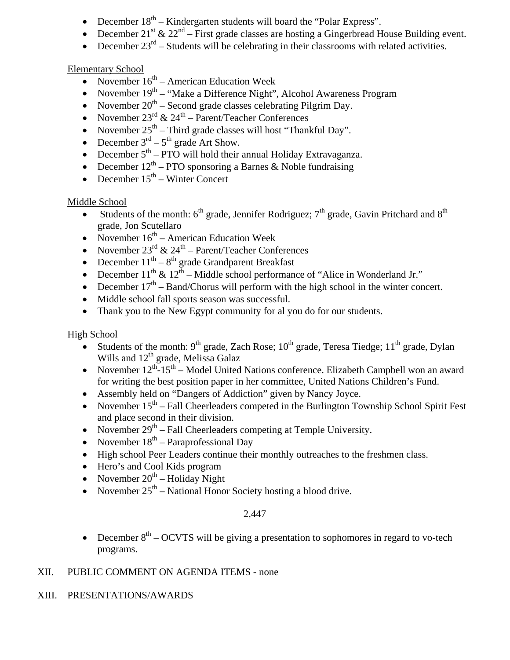- December  $18<sup>th</sup>$  Kindergarten students will board the "Polar Express".
- December 21<sup>st</sup> & 22<sup>nd</sup> First grade classes are hosting a Gingerbread House Building event.
- December  $23<sup>rd</sup>$  Students will be celebrating in their classrooms with related activities.

# Elementary School

- November  $16<sup>th</sup>$  American Education Week
- November  $19<sup>th</sup>$  "Make a Difference Night", Alcohol Awareness Program
- November  $20^{th}$  Second grade classes celebrating Pilgrim Day.
- November  $23^{\text{rd}}$  &  $24^{\text{th}}$  Parent/Teacher Conferences
- November  $25<sup>th</sup>$  Third grade classes will host "Thankful Day".
- December  $3<sup>rd</sup> 5<sup>th</sup>$  grade Art Show.
- December  $5<sup>th</sup>$  PTO will hold their annual Holiday Extravaganza.
- December  $12<sup>th</sup>$  PTO sponsoring a Barnes & Noble fundraising
- December  $15<sup>th</sup>$  Winter Concert

# Middle School

- Students of the month:  $6<sup>th</sup>$  grade, Jennifer Rodriguez;  $7<sup>th</sup>$  grade, Gavin Pritchard and  $8<sup>th</sup>$ grade, Jon Scutellaro
- November  $16<sup>th</sup>$  American Education Week
- November  $23^{\text{rd}}$  &  $24^{\text{th}}$  Parent/Teacher Conferences
- December  $11<sup>th</sup> 8<sup>th</sup>$  grade Grandparent Breakfast
- December  $11^{th}$  &  $12^{th}$  Middle school performance of "Alice in Wonderland Jr."
- December  $17<sup>th</sup>$  Band/Chorus will perform with the high school in the winter concert.
- Middle school fall sports season was successful.
- Thank you to the New Egypt community for all you do for our students.

# High School

- Students of the month:  $9<sup>th</sup>$  grade, Zach Rose;  $10<sup>th</sup>$  grade, Teresa Tiedge;  $11<sup>th</sup>$  grade, Dylan Wills and  $12<sup>th</sup>$  grade, Melissa Galaz
- November  $12^{th}$ –15<sup>th</sup> Model United Nations conference. Elizabeth Campbell won an award for writing the best position paper in her committee, United Nations Children's Fund.
- Assembly held on "Dangers of Addiction" given by Nancy Joyce.
- November  $15<sup>th</sup> Fall Cheerleaders computed in the Burlington Township School Spirit Fest$ and place second in their division.
- November  $29<sup>th</sup> Fall Cheerleaders competing at Temple University.$
- November  $18<sup>th</sup>$  Paraprofessional Day
- High school Peer Leaders continue their monthly outreaches to the freshmen class.
- Hero's and Cool Kids program
- November  $20^{th}$  Holiday Night
- November  $25<sup>th</sup>$  National Honor Society hosting a blood drive.

# 2,447

• December  $8<sup>th</sup>$  – OCVTS will be giving a presentation to sophomores in regard to vo-tech programs.

# XII. PUBLIC COMMENT ON AGENDA ITEMS - none

# XIII. PRESENTATIONS/AWARDS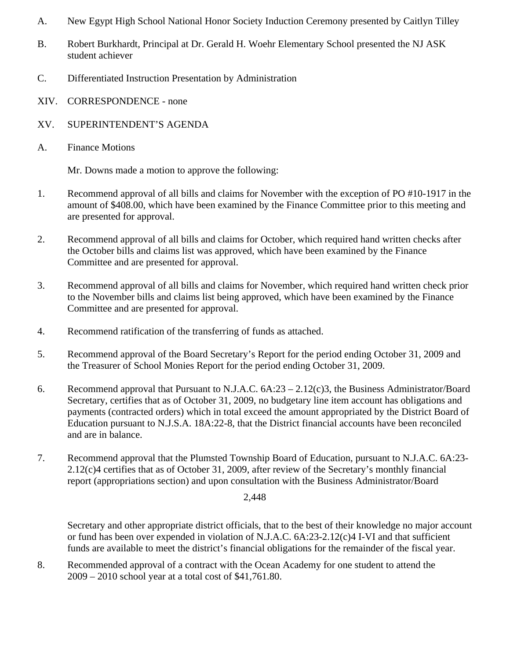- A. New Egypt High School National Honor Society Induction Ceremony presented by Caitlyn Tilley
- B. Robert Burkhardt, Principal at Dr. Gerald H. Woehr Elementary School presented the NJ ASK student achiever
- C. Differentiated Instruction Presentation by Administration
- XIV. CORRESPONDENCE none
- XV. SUPERINTENDENT'S AGENDA
- A. Finance Motions

Mr. Downs made a motion to approve the following:

- 1. Recommend approval of all bills and claims for November with the exception of PO #10-1917 in the amount of \$408.00, which have been examined by the Finance Committee prior to this meeting and are presented for approval.
- 2. Recommend approval of all bills and claims for October, which required hand written checks after the October bills and claims list was approved, which have been examined by the Finance Committee and are presented for approval.
- 3. Recommend approval of all bills and claims for November, which required hand written check prior to the November bills and claims list being approved, which have been examined by the Finance Committee and are presented for approval.
- 4. Recommend ratification of the transferring of funds as attached.
- 5. Recommend approval of the Board Secretary's Report for the period ending October 31, 2009 and the Treasurer of School Monies Report for the period ending October 31, 2009.
- 6. Recommend approval that Pursuant to N.J.A.C. 6A:23 2.12(c)3, the Business Administrator/Board Secretary, certifies that as of October 31, 2009, no budgetary line item account has obligations and payments (contracted orders) which in total exceed the amount appropriated by the District Board of Education pursuant to N.J.S.A. 18A:22-8, that the District financial accounts have been reconciled and are in balance.
- 7. Recommend approval that the Plumsted Township Board of Education, pursuant to N.J.A.C. 6A:23- 2.12(c)4 certifies that as of October 31, 2009, after review of the Secretary's monthly financial report (appropriations section) and upon consultation with the Business Administrator/Board

2,448

Secretary and other appropriate district officials, that to the best of their knowledge no major account or fund has been over expended in violation of N.J.A.C. 6A:23-2.12(c)4 I-VI and that sufficient funds are available to meet the district's financial obligations for the remainder of the fiscal year.

8. Recommended approval of a contract with the Ocean Academy for one student to attend the 2009 – 2010 school year at a total cost of \$41,761.80.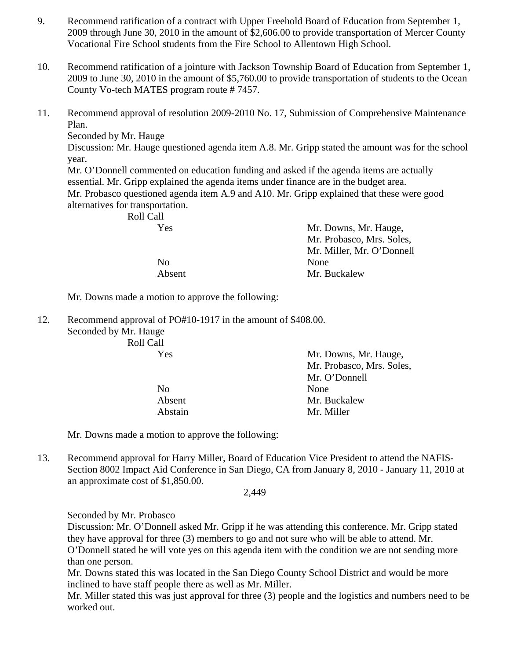- 9. Recommend ratification of a contract with Upper Freehold Board of Education from September 1, 2009 through June 30, 2010 in the amount of \$2,606.00 to provide transportation of Mercer County Vocational Fire School students from the Fire School to Allentown High School.
- 10. Recommend ratification of a jointure with Jackson Township Board of Education from September 1, 2009 to June 30, 2010 in the amount of \$5,760.00 to provide transportation of students to the Ocean County Vo-tech MATES program route # 7457.
- 11. Recommend approval of resolution 2009-2010 No. 17, Submission of Comprehensive Maintenance Plan.

Seconded by Mr. Hauge

Discussion: Mr. Hauge questioned agenda item A.8. Mr. Gripp stated the amount was for the school year.

Mr. O'Donnell commented on education funding and asked if the agenda items are actually essential. Mr. Gripp explained the agenda items under finance are in the budget area. Mr. Probasco questioned agenda item A.9 and A10. Mr. Gripp explained that these were good alternatives for transportation.

| Mr. Downs, Mr. Hauge,     |
|---------------------------|
| Mr. Probasco, Mrs. Soles, |
| Mr. Miller, Mr. O'Donnell |
| None                      |
| Mr. Buckalew              |
|                           |

Mr. Downs made a motion to approve the following:

12. Recommend approval of PO#10-1917 in the amount of \$408.00.

Seconded by Mr. Hauge Roll Call

| Yes            | Mr. Downs, Mr. Hauge,     |
|----------------|---------------------------|
|                | Mr. Probasco, Mrs. Soles, |
|                | Mr. O'Donnell             |
| N <sub>0</sub> | None                      |
| Absent         | Mr. Buckalew              |
| Abstain        | Mr. Miller                |

Mr. Downs made a motion to approve the following:

13. Recommend approval for Harry Miller, Board of Education Vice President to attend the NAFIS-Section 8002 Impact Aid Conference in San Diego, CA from January 8, 2010 - January 11, 2010 at an approximate cost of \$1,850.00.

2,449

Seconded by Mr. Probasco

Discussion: Mr. O'Donnell asked Mr. Gripp if he was attending this conference. Mr. Gripp stated they have approval for three (3) members to go and not sure who will be able to attend. Mr. O'Donnell stated he will vote yes on this agenda item with the condition we are not sending more than one person.

Mr. Downs stated this was located in the San Diego County School District and would be more inclined to have staff people there as well as Mr. Miller.

Mr. Miller stated this was just approval for three (3) people and the logistics and numbers need to be worked out.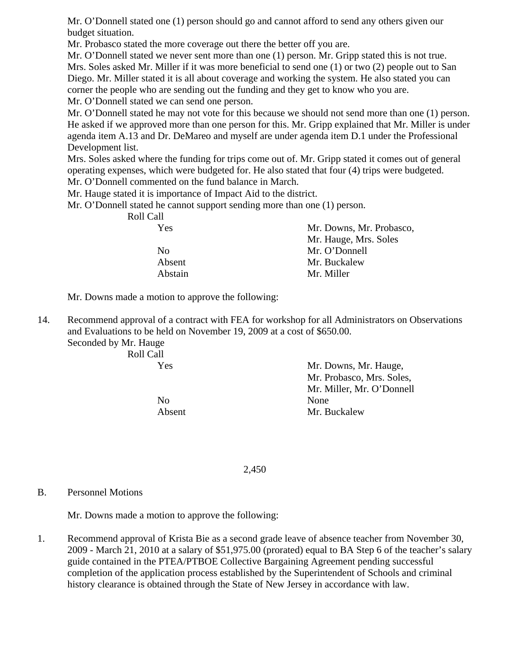Mr. O'Donnell stated one (1) person should go and cannot afford to send any others given our budget situation.

Mr. Probasco stated the more coverage out there the better off you are.

Mr. O'Donnell stated we never sent more than one (1) person. Mr. Gripp stated this is not true. Mrs. Soles asked Mr. Miller if it was more beneficial to send one (1) or two (2) people out to San Diego. Mr. Miller stated it is all about coverage and working the system. He also stated you can corner the people who are sending out the funding and they get to know who you are. Mr. O'Donnell stated we can send one person.

Mr. O'Donnell stated he may not vote for this because we should not send more than one (1) person. He asked if we approved more than one person for this. Mr. Gripp explained that Mr. Miller is under agenda item A.13 and Dr. DeMareo and myself are under agenda item D.1 under the Professional Development list.

Mrs. Soles asked where the funding for trips come out of. Mr. Gripp stated it comes out of general operating expenses, which were budgeted for. He also stated that four (4) trips were budgeted. Mr. O'Donnell commented on the fund balance in March.

Mr. Hauge stated it is importance of Impact Aid to the district.

Mr. O'Donnell stated he cannot support sending more than one (1) person.

| Roll Call      |                          |
|----------------|--------------------------|
| Yes            | Mr. Downs, Mr. Probasco, |
|                | Mr. Hauge, Mrs. Soles    |
| N <sub>0</sub> | Mr. O'Donnell            |
| Absent         | Mr. Buckalew             |
| Abstain        | Mr. Miller               |

Mr. Downs made a motion to approve the following:

14. Recommend approval of a contract with FEA for workshop for all Administrators on Observations and Evaluations to be held on November 19, 2009 at a cost of \$650.00.

Seconded by Mr. Hauge Roll Call

No None

 Yes Mr. Downs, Mr. Hauge, Mr. Probasco, Mrs. Soles, Mr. Miller, Mr. O'Donnell Absent Mr. Buckalew

2,450

### B. Personnel Motions

Mr. Downs made a motion to approve the following:

1. Recommend approval of Krista Bie as a second grade leave of absence teacher from November 30, 2009 - March 21, 2010 at a salary of \$51,975.00 (prorated) equal to BA Step 6 of the teacher's salary guide contained in the PTEA/PTBOE Collective Bargaining Agreement pending successful completion of the application process established by the Superintendent of Schools and criminal history clearance is obtained through the State of New Jersey in accordance with law.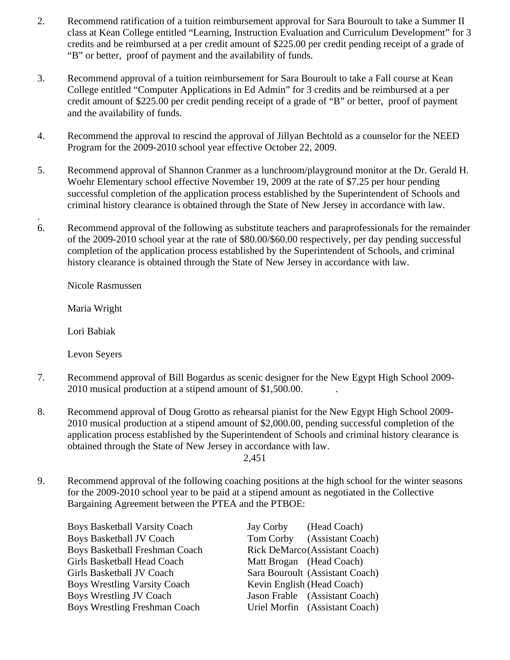- 2. Recommend ratification of a tuition reimbursement approval for Sara Bouroult to take a Summer II class at Kean College entitled "Learning, Instruction Evaluation and Curriculum Development" for 3 credits and be reimbursed at a per credit amount of \$225.00 per credit pending receipt of a grade of "B" or better, proof of payment and the availability of funds.
- 3. Recommend approval of a tuition reimbursement for Sara Bouroult to take a Fall course at Kean College entitled "Computer Applications in Ed Admin" for 3 credits and be reimbursed at a per credit amount of \$225.00 per credit pending receipt of a grade of "B" or better, proof of payment and the availability of funds.
- 4. Recommend the approval to rescind the approval of Jillyan Bechtold as a counselor for the NEED Program for the 2009-2010 school year effective October 22, 2009.
- 5. Recommend approval of Shannon Cranmer as a lunchroom/playground monitor at the Dr. Gerald H. Woehr Elementary school effective November 19, 2009 at the rate of \$7.25 per hour pending successful completion of the application process established by the Superintendent of Schools and criminal history clearance is obtained through the State of New Jersey in accordance with law.
- 6. Recommend approval of the following as substitute teachers and paraprofessionals for the remainder of the 2009-2010 school year at the rate of \$80.00/\$60.00 respectively, per day pending successful completion of the application process established by the Superintendent of Schools, and criminal history clearance is obtained through the State of New Jersey in accordance with law.

Nicole Rasmussen

Maria Wright

.

Lori Babiak

Levon Seyers

- 7. Recommend approval of Bill Bogardus as scenic designer for the New Egypt High School 2009- 2010 musical production at a stipend amount of \$1,500.00. .
- 8. Recommend approval of Doug Grotto as rehearsal pianist for the New Egypt High School 2009- 2010 musical production at a stipend amount of \$2,000.00, pending successful completion of the application process established by the Superintendent of Schools and criminal history clearance is obtained through the State of New Jersey in accordance with law.

2,451

9. Recommend approval of the following coaching positions at the high school for the winter seasons for the 2009-2010 school year to be paid at a stipend amount as negotiated in the Collective Bargaining Agreement between the PTEA and the PTBOE:

Boys Basketball Varsity Coach Jay Corby (Head Coach) Boys Basketball JV Coach Tom Corby (Assistant Coach) Boys Basketball Freshman Coach Rick DeMarco (Assistant Coach) Girls Basketball Head Coach Matt Brogan (Head Coach) Girls Basketball JV Coach Sara Bouroult (Assistant Coach) Boys Wrestling Varsity Coach Kevin English (Head Coach) Boys Wrestling JV Coach Jason Frable (Assistant Coach) Boys Wrestling Freshman Coach Uriel Morfin (Assistant Coach)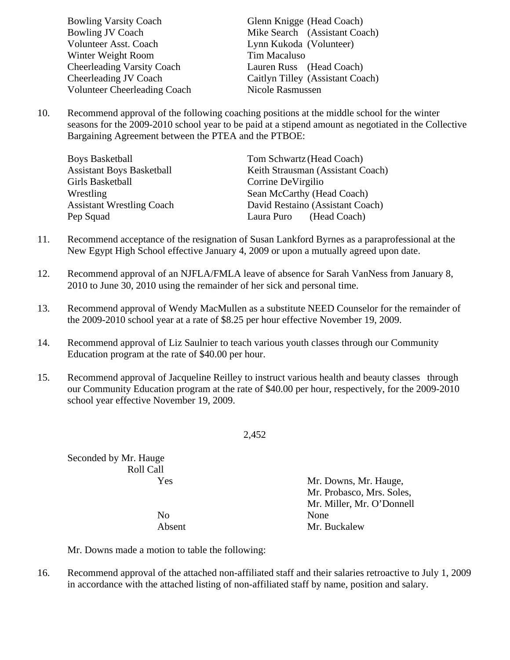| <b>Bowling Varsity Coach</b>        | Glenn Knigge (Head Coach)        |
|-------------------------------------|----------------------------------|
| Bowling JV Coach                    | Mike Search (Assistant Coach)    |
| Volunteer Asst. Coach               | Lynn Kukoda (Volunteer)          |
| Winter Weight Room                  | Tim Macaluso                     |
| <b>Cheerleading Varsity Coach</b>   | Lauren Russ (Head Coach)         |
| Cheerleading JV Coach               | Caitlyn Tilley (Assistant Coach) |
| <b>Volunteer Cheerleading Coach</b> | Nicole Rasmussen                 |

10. Recommend approval of the following coaching positions at the middle school for the winter seasons for the 2009-2010 school year to be paid at a stipend amount as negotiated in the Collective Bargaining Agreement between the PTEA and the PTBOE:

| <b>Boys Basketball</b>           | Tom Schwartz (Head Coach)         |
|----------------------------------|-----------------------------------|
| <b>Assistant Boys Basketball</b> | Keith Strausman (Assistant Coach) |
| Girls Basketball                 | Corrine De Virgilio               |
| Wrestling                        | Sean McCarthy (Head Coach)        |
| <b>Assistant Wrestling Coach</b> | David Restaino (Assistant Coach)  |
| Pep Squad                        | Laura Puro (Head Coach)           |

- 11. Recommend acceptance of the resignation of Susan Lankford Byrnes as a paraprofessional at the New Egypt High School effective January 4, 2009 or upon a mutually agreed upon date.
- 12. Recommend approval of an NJFLA/FMLA leave of absence for Sarah VanNess from January 8, 2010 to June 30, 2010 using the remainder of her sick and personal time.
- 13. Recommend approval of Wendy MacMullen as a substitute NEED Counselor for the remainder of the 2009-2010 school year at a rate of \$8.25 per hour effective November 19, 2009.
- 14. Recommend approval of Liz Saulnier to teach various youth classes through our Community Education program at the rate of \$40.00 per hour.
- 15. Recommend approval of Jacqueline Reilley to instruct various health and beauty classes through our Community Education program at the rate of \$40.00 per hour, respectively, for the 2009-2010 school year effective November 19, 2009.

2,452

Seconded by Mr. Hauge Roll Call

 Yes Mr. Downs, Mr. Hauge, Mr. Probasco, Mrs. Soles, Mr. Miller, Mr. O'Donnell Absent Mr. Buckalew

No None

Mr. Downs made a motion to table the following:

16. Recommend approval of the attached non-affiliated staff and their salaries retroactive to July 1, 2009 in accordance with the attached listing of non-affiliated staff by name, position and salary.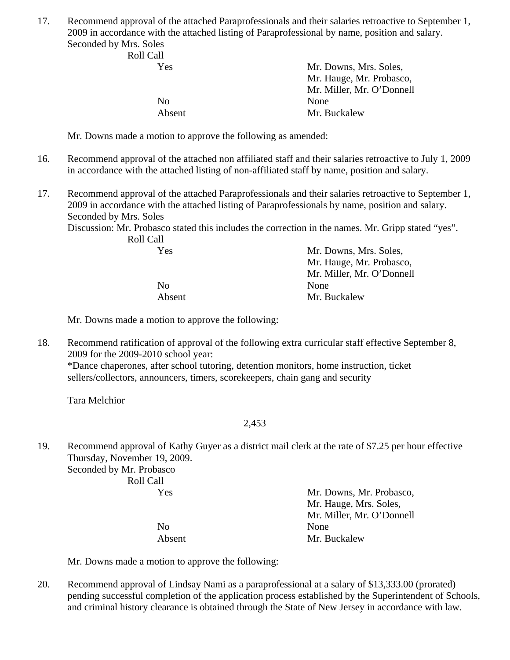17. Recommend approval of the attached Paraprofessionals and their salaries retroactive to September 1, 2009 in accordance with the attached listing of Paraprofessional by name, position and salary. Seconded by Mrs. Soles

| Mr. Downs, Mrs. Soles,    |
|---------------------------|
| Mr. Hauge, Mr. Probasco,  |
| Mr. Miller, Mr. O'Donnell |
| None                      |
| Mr. Buckalew              |
|                           |

Mr. Downs made a motion to approve the following as amended:

- 16. Recommend approval of the attached non affiliated staff and their salaries retroactive to July 1, 2009 in accordance with the attached listing of non-affiliated staff by name, position and salary.
- 17. Recommend approval of the attached Paraprofessionals and their salaries retroactive to September 1, 2009 in accordance with the attached listing of Paraprofessionals by name, position and salary. Seconded by Mrs. Soles

Discussion: Mr. Probasco stated this includes the correction in the names. Mr. Gripp stated "yes". Roll Call

| No     | None  |
|--------|-------|
| Absent | Mr. B |

 Yes Mr. Downs, Mrs. Soles, Mr. Hauge, Mr. Probasco, Mr. Miller, Mr. O'Donnell Mr. Buckalew

Mr. Downs made a motion to approve the following:

18. Recommend ratification of approval of the following extra curricular staff effective September 8, 2009 for the 2009-2010 school year:

 \*Dance chaperones, after school tutoring, detention monitors, home instruction, ticket sellers/collectors, announcers, timers, scorekeepers, chain gang and security

Tara Melchior

### 2,453

19. Recommend approval of Kathy Guyer as a district mail clerk at the rate of \$7.25 per hour effective Thursday, November 19, 2009.

Seconded by Mr. Probasco Roll Call

 Yes Mr. Downs, Mr. Probasco, Mr. Hauge, Mrs. Soles, Mr. Miller, Mr. O'Donnell Absent Mr. Buckalew

No None

Mr. Downs made a motion to approve the following:

20. Recommend approval of Lindsay Nami as a paraprofessional at a salary of \$13,333.00 (prorated) pending successful completion of the application process established by the Superintendent of Schools, and criminal history clearance is obtained through the State of New Jersey in accordance with law.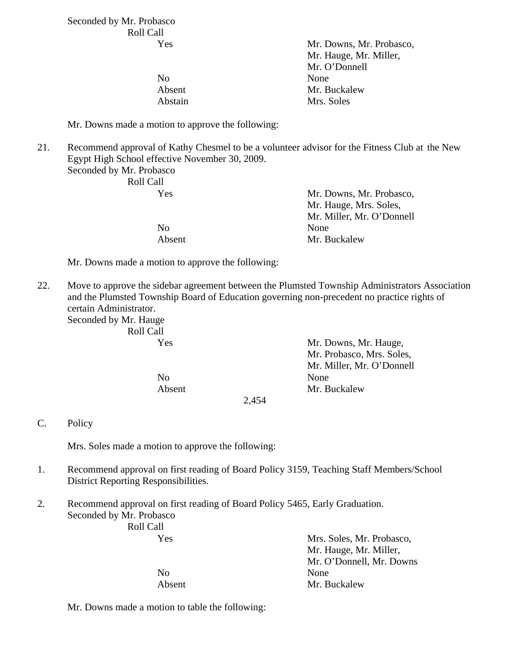Seconded by Mr. Probasco Roll Call

| Yes            | Mr. Downs, Mr. Probasco, |
|----------------|--------------------------|
|                | Mr. Hauge, Mr. Miller,   |
|                | Mr. O'Donnell            |
| N <sub>0</sub> | None                     |
| Absent         | Mr. Buckalew             |
| Abstain        | Mrs. Soles               |
|                |                          |

Mr. Downs made a motion to approve the following:

21. Recommend approval of Kathy Chesmel to be a volunteer advisor for the Fitness Club at the New Egypt High School effective November 30, 2009.

Seconded by Mr. Probasco Roll Call

No None

 Yes Mr. Downs, Mr. Probasco, Mr. Hauge, Mrs. Soles, Mr. Miller, Mr. O'Donnell Absent Mr. Buckalew

Mr. Downs made a motion to approve the following:

22. Move to approve the sidebar agreement between the Plumsted Township Administrators Association and the Plumsted Township Board of Education governing non-precedent no practice rights of certain Administrator.

Seconded by Mr. Hauge Roll Call

| $\cdots$ |                           |
|----------|---------------------------|
| Yes      | Mr. Downs, Mr. Hauge,     |
|          | Mr. Probasco, Mrs. Soles, |
|          | Mr. Miller, Mr. O'Donnell |
| No       | None                      |
| Absent   | Mr. Buckalew              |
|          |                           |

2,454

C. Policy

Mrs. Soles made a motion to approve the following:

- 1. Recommend approval on first reading of Board Policy 3159, Teaching Staff Members/School District Reporting Responsibilities.
- 2. Recommend approval on first reading of Board Policy 5465, Early Graduation. Seconded by Mr. Probasco

Roll Call

 Yes Mrs. Soles, Mr. Probasco, Mr. Hauge, Mr. Miller, Mr. O'Donnell, Mr. Downs No None Absent Mr. Buckalew

Mr. Downs made a motion to table the following: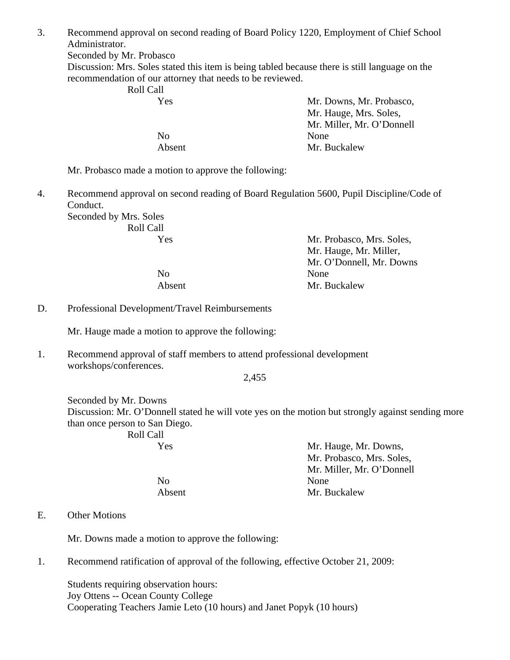3. Recommend approval on second reading of Board Policy 1220, Employment of Chief School Administrator.

Seconded by Mr. Probasco

Discussion: Mrs. Soles stated this item is being tabled because there is still language on the recommendation of our attorney that needs to be reviewed.

Roll Call

| Mr. Downs, Mr. Probasco,  |
|---------------------------|
| Mr. Hauge, Mrs. Soles,    |
| Mr. Miller, Mr. O'Donnell |
| None                      |
| Mr. Buckalew              |
|                           |

Mr. Probasco made a motion to approve the following:

4. Recommend approval on second reading of Board Regulation 5600, Pupil Discipline/Code of Conduct.

Seconded by Mrs. Soles Roll Call

| Mr. Probasco, Mrs. Soles, |
|---------------------------|
| Mr. Hauge, Mr. Miller,    |
| Mr. O'Donnell, Mr. Downs  |
| None                      |
| Mr. Buckalew              |
|                           |

D. Professional Development/Travel Reimbursements

Mr. Hauge made a motion to approve the following:

1. Recommend approval of staff members to attend professional development workshops/conferences.

2,455

Seconded by Mr. Downs Discussion: Mr. O'Donnell stated he will vote yes on the motion but strongly against sending more than once person to San Diego. Roll Call

Yes Mr. Hauge, Mr. Downs, Mr. Probasco, Mrs. Soles, Mr. Miller, Mr. O'Donnell No None Absent Mr. Buckalew

### E. Other Motions

Mr. Downs made a motion to approve the following:

1. Recommend ratification of approval of the following, effective October 21, 2009:

 Students requiring observation hours: Joy Ottens -- Ocean County College Cooperating Teachers Jamie Leto (10 hours) and Janet Popyk (10 hours)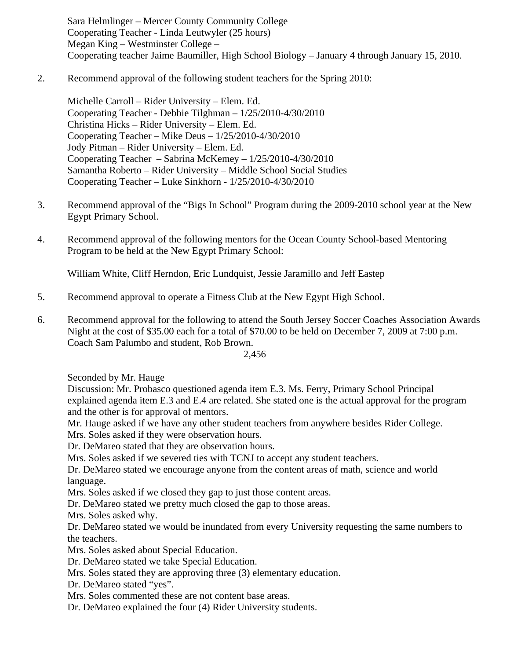Sara Helmlinger – Mercer County Community College Cooperating Teacher - Linda Leutwyler (25 hours) Megan King – Westminster College – Cooperating teacher Jaime Baumiller, High School Biology – January 4 through January 15, 2010.

2. Recommend approval of the following student teachers for the Spring 2010:

 Michelle Carroll – Rider University – Elem. Ed. Cooperating Teacher - Debbie Tilghman – 1/25/2010-4/30/2010 Christina Hicks – Rider University – Elem. Ed. Cooperating Teacher – Mike Deus – 1/25/2010-4/30/2010 Jody Pitman – Rider University – Elem. Ed. Cooperating Teacher – Sabrina McKemey – 1/25/2010-4/30/2010 Samantha Roberto – Rider University – Middle School Social Studies Cooperating Teacher – Luke Sinkhorn - 1/25/2010-4/30/2010

- 3. Recommend approval of the "Bigs In School" Program during the 2009-2010 school year at the New Egypt Primary School.
- 4. Recommend approval of the following mentors for the Ocean County School-based Mentoring Program to be held at the New Egypt Primary School:

William White, Cliff Herndon, Eric Lundquist, Jessie Jaramillo and Jeff Eastep

- 5. Recommend approval to operate a Fitness Club at the New Egypt High School.
- 6. Recommend approval for the following to attend the South Jersey Soccer Coaches Association Awards Night at the cost of \$35.00 each for a total of \$70.00 to be held on December 7, 2009 at 7:00 p.m. Coach Sam Palumbo and student, Rob Brown.

2,456

Seconded by Mr. Hauge

Discussion: Mr. Probasco questioned agenda item E.3. Ms. Ferry, Primary School Principal explained agenda item E.3 and E.4 are related. She stated one is the actual approval for the program and the other is for approval of mentors.

Mr. Hauge asked if we have any other student teachers from anywhere besides Rider College.

Mrs. Soles asked if they were observation hours.

Dr. DeMareo stated that they are observation hours.

Mrs. Soles asked if we severed ties with TCNJ to accept any student teachers.

Dr. DeMareo stated we encourage anyone from the content areas of math, science and world language.

Mrs. Soles asked if we closed they gap to just those content areas.

Dr. DeMareo stated we pretty much closed the gap to those areas.

Mrs. Soles asked why.

Dr. DeMareo stated we would be inundated from every University requesting the same numbers to the teachers.

Mrs. Soles asked about Special Education.

Dr. DeMareo stated we take Special Education.

Mrs. Soles stated they are approving three (3) elementary education.

Dr. DeMareo stated "yes".

Mrs. Soles commented these are not content base areas.

Dr. DeMareo explained the four (4) Rider University students.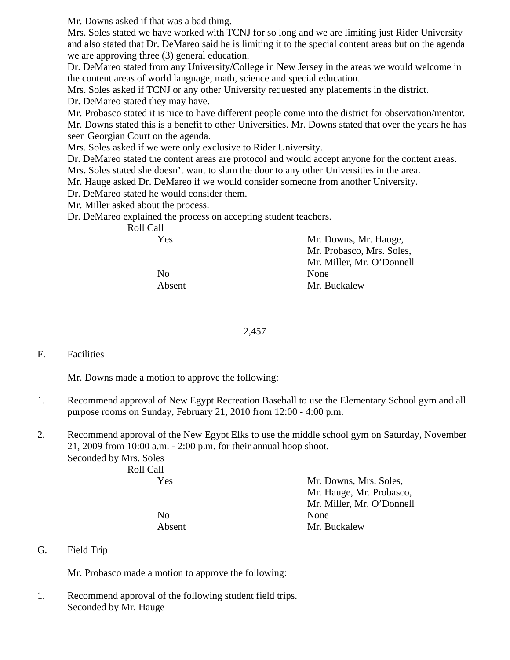Mr. Downs asked if that was a bad thing.

Mrs. Soles stated we have worked with TCNJ for so long and we are limiting just Rider University and also stated that Dr. DeMareo said he is limiting it to the special content areas but on the agenda we are approving three (3) general education.

Dr. DeMareo stated from any University/College in New Jersey in the areas we would welcome in the content areas of world language, math, science and special education.

Mrs. Soles asked if TCNJ or any other University requested any placements in the district.

Dr. DeMareo stated they may have.

Mr. Probasco stated it is nice to have different people come into the district for observation/mentor.

Mr. Downs stated this is a benefit to other Universities. Mr. Downs stated that over the years he has seen Georgian Court on the agenda.

Mrs. Soles asked if we were only exclusive to Rider University.

Dr. DeMareo stated the content areas are protocol and would accept anyone for the content areas.

Mrs. Soles stated she doesn't want to slam the door to any other Universities in the area.

Mr. Hauge asked Dr. DeMareo if we would consider someone from another University.

Dr. DeMareo stated he would consider them.

Mr. Miller asked about the process.

Dr. DeMareo explained the process on accepting student teachers.

| Mr. Downs, Mr. Hauge,     |
|---------------------------|
| Mr. Probasco, Mrs. Soles, |
| Mr. Miller, Mr. O'Donnell |
| None                      |
| Mr. Buckalew              |
|                           |

2,457

# F. Facilities

Mr. Downs made a motion to approve the following:

- 1. Recommend approval of New Egypt Recreation Baseball to use the Elementary School gym and all purpose rooms on Sunday, February 21, 2010 from 12:00 - 4:00 p.m.
- 2. Recommend approval of the New Egypt Elks to use the middle school gym on Saturday, November 21, 2009 from 10:00 a.m. - 2:00 p.m. for their annual hoop shoot. Seconded by Mrs. Soles

 Roll Call Yes Mr. Downs, Mrs. Soles, Mr. Hauge, Mr. Probasco, Mr. Miller, Mr. O'Donnell No None Absent Mr. Buckalew

G. Field Trip

Mr. Probasco made a motion to approve the following:

1. Recommend approval of the following student field trips. Seconded by Mr. Hauge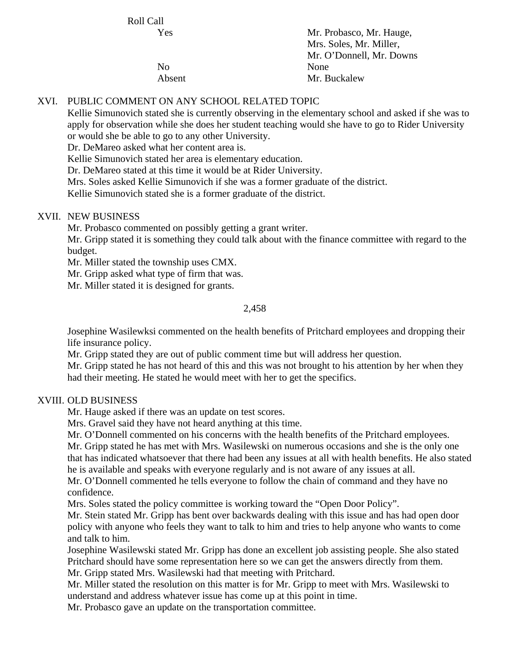Roll Call

 Yes Mr. Probasco, Mr. Hauge, Mrs. Soles, Mr. Miller, Mr. O'Donnell, Mr. Downs No None Absent Mr. Buckalew

# XVI. PUBLIC COMMENT ON ANY SCHOOL RELATED TOPIC

Kellie Simunovich stated she is currently observing in the elementary school and asked if she was to apply for observation while she does her student teaching would she have to go to Rider University or would she be able to go to any other University.

Dr. DeMareo asked what her content area is.

Kellie Simunovich stated her area is elementary education.

Dr. DeMareo stated at this time it would be at Rider University.

Mrs. Soles asked Kellie Simunovich if she was a former graduate of the district.

Kellie Simunovich stated she is a former graduate of the district.

### XVII. NEW BUSINESS

Mr. Probasco commented on possibly getting a grant writer.

Mr. Gripp stated it is something they could talk about with the finance committee with regard to the budget.

Mr. Miller stated the township uses CMX.

Mr. Gripp asked what type of firm that was.

Mr. Miller stated it is designed for grants.

### 2,458

 Josephine Wasilewksi commented on the health benefits of Pritchard employees and dropping their life insurance policy.

Mr. Gripp stated they are out of public comment time but will address her question.

 Mr. Gripp stated he has not heard of this and this was not brought to his attention by her when they had their meeting. He stated he would meet with her to get the specifics.

### XVIII. OLD BUSINESS

Mr. Hauge asked if there was an update on test scores.

Mrs. Gravel said they have not heard anything at this time.

Mr. O'Donnell commented on his concerns with the health benefits of the Pritchard employees.

Mr. Gripp stated he has met with Mrs. Wasilewski on numerous occasions and she is the only one that has indicated whatsoever that there had been any issues at all with health benefits. He also stated he is available and speaks with everyone regularly and is not aware of any issues at all.

Mr. O'Donnell commented he tells everyone to follow the chain of command and they have no confidence.

Mrs. Soles stated the policy committee is working toward the "Open Door Policy".

Mr. Stein stated Mr. Gripp has bent over backwards dealing with this issue and has had open door policy with anyone who feels they want to talk to him and tries to help anyone who wants to come and talk to him.

Josephine Wasilewski stated Mr. Gripp has done an excellent job assisting people. She also stated Pritchard should have some representation here so we can get the answers directly from them. Mr. Gripp stated Mrs. Wasilewski had that meeting with Pritchard.

Mr. Miller stated the resolution on this matter is for Mr. Gripp to meet with Mrs. Wasilewski to understand and address whatever issue has come up at this point in time.

Mr. Probasco gave an update on the transportation committee.